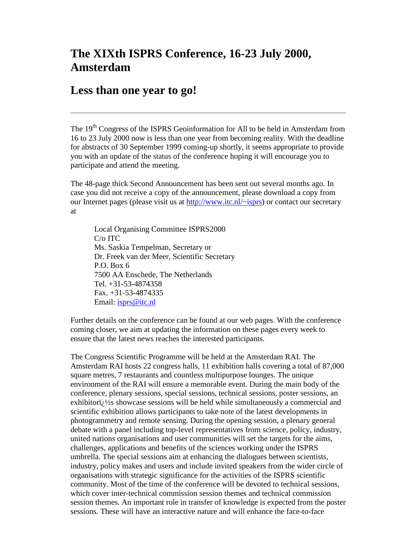## **The XIXth ISPRS Conference, 16-23 July 2000, Amsterdam**

## **Less than one year to go!**

The 19th Congress of the ISPRS Geoinformation for All to be held in Amsterdam from 16 to 23 July 2000 now is less than one year from becoming reality. With the deadline for abstracts of 30 September 1999 coming-up shortly, it seems appropriate to provide you with an update of the status of the conference hoping it will encourage you to participate and attend the meeting.

The 48-page thick Second Announcement has been sent out several months ago. In case you did not receive a copy of the announcement, please download a copy from our Internet pages (please visit us at [http://www.itc.nl/~isprs\)](http://www.itc.nl/~isprs) or contact our secretary at

Local Organising Committee ISPRS2000 C/o ITC Ms. Saskia Tempelman, Secretary or Dr. Freek van der Meer, Scientific Secretary P.O. Box 6 7500 AA Enschede, The Netherlands Tel. +31-53-4874358 Fax. +31-53-4874335 Email: [isprs@itc.nl](mailto:isprs@itc.nl)

Further details on the conference can be found at our web pages. With the conference coming closer, we aim at updating the information on these pages every week to ensure that the latest news reaches the interested participants.

The Congress Scientific Programme will be held at the Amsterdam RAI. The Amsterdam RAI hosts 22 congress halls, 11 exhibition halls covering a total of 87,000 square metres, 7 restaurants and countless multipurpose lounges. The unique environment of the RAI will ensure a memorable event. During the main body of the conference, plenary sessions, special sessions, technical sessions, poster sessions, an exhibitori $\chi$  /2s showcase sessions will be held while simultaneously a commercial and scientific exhibition allows participants to take note of the latest developments in photogrammetry and remote sensing. During the opening session, a plenary general debate with a panel including top-level representatives from science, policy, industry, united nations organisations and user communities will set the targets for the aims, challenges, applications and benefits of the sciences working under the ISPRS umbrella. The special sessions aim at enhancing the dialogues between scientists, industry, policy makes and users and include invited speakers from the wider circle of organisations with strategic significance for the activities of the ISPRS scientific community. Most of the time of the conference will be devoted to technical sessions, which cover inter-technical commission session themes and technical commission session themes. An important role in transfer of knowledge is expected from the poster sessions. These will have an interactive nature and will enhance the face-to-face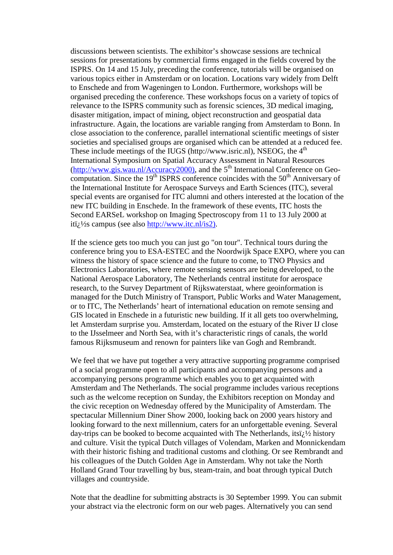discussions between scientists. The exhibitor's showcase sessions are technical sessions for presentations by commercial firms engaged in the fields covered by the ISPRS. On 14 and 15 July, preceding the conference, tutorials will be organised on various topics either in Amsterdam or on location. Locations vary widely from Delft to Enschede and from Wageningen to London. Furthermore, workshops will be organised preceding the conference. These workshops focus on a variety of topics of relevance to the ISPRS community such as forensic sciences, 3D medical imaging, disaster mitigation, impact of mining, object reconstruction and geospatial data infrastructure. Again, the locations are variable ranging from Amsterdam to Bonn. In close association to the conference, parallel international scientific meetings of sister societies and specialised groups are organised which can be attended at a reduced fee. These include meetings of the IUGS (http://www.isric.nl), NSEOG, the  $4<sup>th</sup>$ International Symposium on Spatial Accuracy Assessment in Natural Resources  $(\text{http://www.gis.wau.nl/Accuracy2000)},$  and the 5<sup>th</sup> International Conference on Geocomputation. Since the  $19<sup>th</sup>$  ISPRS conference coincides with the  $50<sup>th</sup>$  Anniversary of the International Institute for Aerospace Surveys and Earth Sciences (ITC), several special events are organised for ITC alumni and others interested at the location of the new ITC building in Enschede. In the framework of these events, ITC hosts the Second EARSeL workshop on Imaging Spectroscopy from 11 to 13 July 2000 at iti;  $\frac{1}{2}$ s campus (see also [http://www.itc.nl/is2\).](http://www.itc.nl/is2))

If the science gets too much you can just go "on tour". Technical tours during the conference bring you to ESA-ESTEC and the Noordwijk Space EXPO, where you can witness the history of space science and the future to come, to TNO Physics and Electronics Laboratories, where remote sensing sensors are being developed, to the National Aerospace Laboratory, The Netherlands central institute for aerospace research, to the Survey Department of Rijkswaterstaat, where geoinformation is managed for the Dutch Ministry of Transport, Public Works and Water Management, or to ITC, The Netherlands' heart of international education on remote sensing and GIS located in Enschede in a futuristic new building. If it all gets too overwhelming, let Amsterdam surprise you. Amsterdam, located on the estuary of the River IJ close to the IJsselmeer and North Sea, with it's characteristic rings of canals, the world famous Rijksmuseum and renown for painters like van Gogh and Rembrandt.

We feel that we have put together a very attractive supporting programme comprised of a social programme open to all participants and accompanying persons and a accompanying persons programme which enables you to get acquainted with Amsterdam and The Netherlands. The social programme includes various receptions such as the welcome reception on Sunday, the Exhibitors reception on Monday and the civic reception on Wednesday offered by the Municipality of Amsterdam. The spectacular Millennium Diner Show 2000, looking back on 2000 years history and looking forward to the next millennium, caters for an unforgettable evening. Several day-trips can be booked to become acquainted with The Netherlands, its $\ddot{i}$ ;  $\frac{1}{2}$  history and culture. Visit the typical Dutch villages of Volendam, Marken and Monnickendam with their historic fishing and traditional customs and clothing. Or see Rembrandt and his colleagues of the Dutch Golden Age in Amsterdam. Why not take the North Holland Grand Tour travelling by bus, steam-train, and boat through typical Dutch villages and countryside.

Note that the deadline for submitting abstracts is 30 September 1999. You can submit your abstract via the electronic form on our web pages. Alternatively you can send